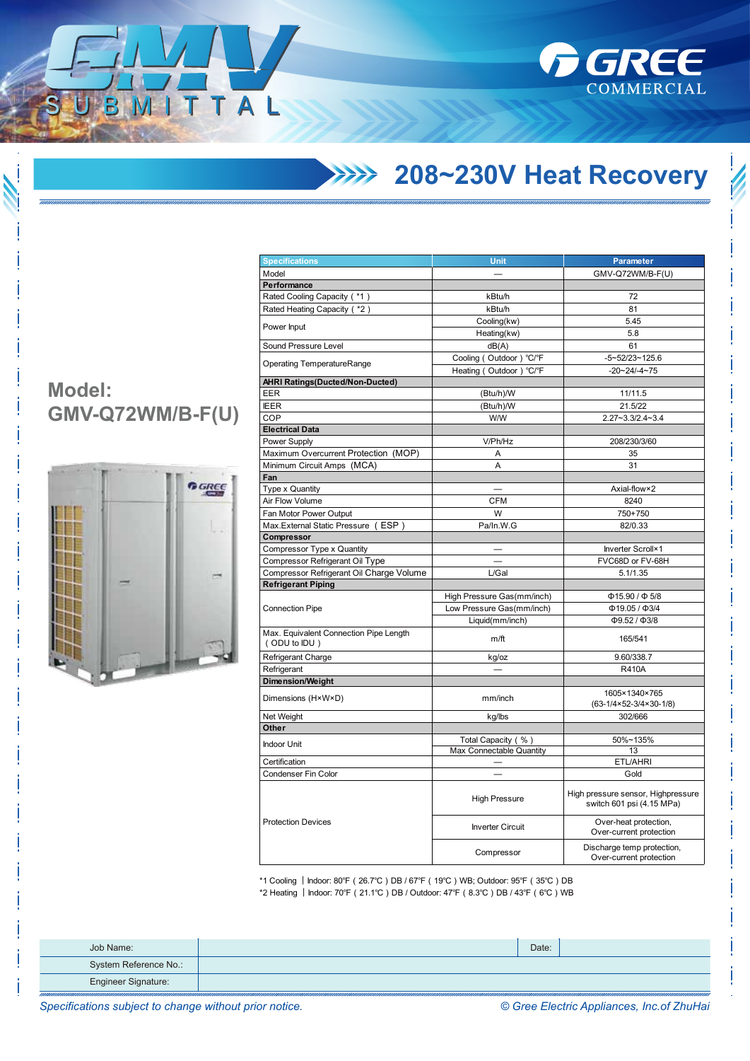

## **208~230V Heat Recovery**

| <b>Model:</b>    |  |
|------------------|--|
| GMV-Q72WM/B-F(U) |  |

ITTAL



| GMV-Q72WM/B-F(U)<br>Model<br>Performance<br>Rated Cooling Capacity ( *1)<br>kBtu/h<br>72<br>Rated Heating Capacity ( *2)<br>kBtu/h<br>81<br>Cooling(kw)<br>5.45<br>Power Input<br>Heating(kw)<br>5.8<br>Sound Pressure Level<br>dB(A)<br>61<br>Cooling (Outdoor) °C/°F<br>$-5 - 52/23 - 125.6$<br><b>Operating TemperatureRange</b><br>Heating (Outdoor) °C/°F<br>$-20 - 24 - 4 - 75$<br><b>AHRI Ratings(Ducted/Non-Ducted)</b><br>(Btu/h)/W<br>EER<br>11/11.5<br><b>IEER</b><br>(Btu/h)/W<br>21.5/22<br>COP<br>W/W<br>$2.27 - 3.3/2.4 - 3.4$<br><b>Electrical Data</b><br>V/Ph/Hz<br>Power Supply<br>208/230/3/60<br>Maximum Overcurrent Protection (MOP)<br>Α<br>35<br>Minimum Circuit Amps (MCA)<br>A<br>31<br>Fan<br>Type x Quantity<br>Axial-flow×2<br>Air Flow Volume<br><b>CFM</b><br>8240<br>W<br>750+750<br>Fan Motor Power Output<br>Max. External Static Pressure (ESP)<br>Pa/In.W.G<br>82/0.33<br>Compressor<br>Compressor Type x Quantity<br>Inverter Scroll×1<br>Compressor Refrigerant Oil Type<br>FVC68D or FV-68H<br>Compressor Refrigerant Oil Charge Volume<br>L/Gal<br>5.1/1.35<br><b>Refrigerant Piping</b><br>High Pressure Gas(mm/inch)<br>$\Phi$ 15.90 / $\Phi$ 5/8<br><b>Connection Pipe</b><br>Low Pressure Gas(mm/inch)<br>$\Phi$ 19.05 / $\Phi$ 3/4<br>Liquid(mm/inch)<br>$\Phi$ 9.52 / $\Phi$ 3/8<br>Max. Equivalent Connection Pipe Length<br>$m$ /ft<br>165/541<br>(ODU to IDU)<br>Refrigerant Charge<br>9.60/338.7<br>kg/oz<br>Refrigerant<br><b>R410A</b><br><b>Dimension/Weight</b><br>1605×1340×765<br>Dimensions (H×W×D)<br>mm/inch<br>$(63-1/4\times52-3/4\times30-1/8)$<br>Net Weight<br>kg/lbs<br>302/666<br>Other<br>Total Capacity (%)<br>50%~135%<br><b>Indoor Unit</b><br>Max Connectable Quantity<br>13<br>Certification<br><b>ETL/AHRI</b><br>Condenser Fin Color<br>Gold<br>High pressure sensor, Highpressure<br><b>High Pressure</b><br>switch 601 psi (4.15 MPa)<br><b>Protection Devices</b><br>Over-heat protection,<br><b>Inverter Circuit</b><br>Over-current protection<br>Discharge temp protection,<br>Compressor<br>Over-current protection | <b>Specifications</b> | Unit | <b>Parameter</b> |  |
|------------------------------------------------------------------------------------------------------------------------------------------------------------------------------------------------------------------------------------------------------------------------------------------------------------------------------------------------------------------------------------------------------------------------------------------------------------------------------------------------------------------------------------------------------------------------------------------------------------------------------------------------------------------------------------------------------------------------------------------------------------------------------------------------------------------------------------------------------------------------------------------------------------------------------------------------------------------------------------------------------------------------------------------------------------------------------------------------------------------------------------------------------------------------------------------------------------------------------------------------------------------------------------------------------------------------------------------------------------------------------------------------------------------------------------------------------------------------------------------------------------------------------------------------------------------------------------------------------------------------------------------------------------------------------------------------------------------------------------------------------------------------------------------------------------------------------------------------------------------------------------------------------------------------------------------------------------------------------------------------------------------------------------------------------------------------------------------------------|-----------------------|------|------------------|--|
|                                                                                                                                                                                                                                                                                                                                                                                                                                                                                                                                                                                                                                                                                                                                                                                                                                                                                                                                                                                                                                                                                                                                                                                                                                                                                                                                                                                                                                                                                                                                                                                                                                                                                                                                                                                                                                                                                                                                                                                                                                                                                                      |                       |      |                  |  |
|                                                                                                                                                                                                                                                                                                                                                                                                                                                                                                                                                                                                                                                                                                                                                                                                                                                                                                                                                                                                                                                                                                                                                                                                                                                                                                                                                                                                                                                                                                                                                                                                                                                                                                                                                                                                                                                                                                                                                                                                                                                                                                      |                       |      |                  |  |
|                                                                                                                                                                                                                                                                                                                                                                                                                                                                                                                                                                                                                                                                                                                                                                                                                                                                                                                                                                                                                                                                                                                                                                                                                                                                                                                                                                                                                                                                                                                                                                                                                                                                                                                                                                                                                                                                                                                                                                                                                                                                                                      |                       |      |                  |  |
|                                                                                                                                                                                                                                                                                                                                                                                                                                                                                                                                                                                                                                                                                                                                                                                                                                                                                                                                                                                                                                                                                                                                                                                                                                                                                                                                                                                                                                                                                                                                                                                                                                                                                                                                                                                                                                                                                                                                                                                                                                                                                                      |                       |      |                  |  |
|                                                                                                                                                                                                                                                                                                                                                                                                                                                                                                                                                                                                                                                                                                                                                                                                                                                                                                                                                                                                                                                                                                                                                                                                                                                                                                                                                                                                                                                                                                                                                                                                                                                                                                                                                                                                                                                                                                                                                                                                                                                                                                      |                       |      |                  |  |
|                                                                                                                                                                                                                                                                                                                                                                                                                                                                                                                                                                                                                                                                                                                                                                                                                                                                                                                                                                                                                                                                                                                                                                                                                                                                                                                                                                                                                                                                                                                                                                                                                                                                                                                                                                                                                                                                                                                                                                                                                                                                                                      |                       |      |                  |  |
|                                                                                                                                                                                                                                                                                                                                                                                                                                                                                                                                                                                                                                                                                                                                                                                                                                                                                                                                                                                                                                                                                                                                                                                                                                                                                                                                                                                                                                                                                                                                                                                                                                                                                                                                                                                                                                                                                                                                                                                                                                                                                                      |                       |      |                  |  |
|                                                                                                                                                                                                                                                                                                                                                                                                                                                                                                                                                                                                                                                                                                                                                                                                                                                                                                                                                                                                                                                                                                                                                                                                                                                                                                                                                                                                                                                                                                                                                                                                                                                                                                                                                                                                                                                                                                                                                                                                                                                                                                      |                       |      |                  |  |
|                                                                                                                                                                                                                                                                                                                                                                                                                                                                                                                                                                                                                                                                                                                                                                                                                                                                                                                                                                                                                                                                                                                                                                                                                                                                                                                                                                                                                                                                                                                                                                                                                                                                                                                                                                                                                                                                                                                                                                                                                                                                                                      |                       |      |                  |  |
|                                                                                                                                                                                                                                                                                                                                                                                                                                                                                                                                                                                                                                                                                                                                                                                                                                                                                                                                                                                                                                                                                                                                                                                                                                                                                                                                                                                                                                                                                                                                                                                                                                                                                                                                                                                                                                                                                                                                                                                                                                                                                                      |                       |      |                  |  |
|                                                                                                                                                                                                                                                                                                                                                                                                                                                                                                                                                                                                                                                                                                                                                                                                                                                                                                                                                                                                                                                                                                                                                                                                                                                                                                                                                                                                                                                                                                                                                                                                                                                                                                                                                                                                                                                                                                                                                                                                                                                                                                      |                       |      |                  |  |
|                                                                                                                                                                                                                                                                                                                                                                                                                                                                                                                                                                                                                                                                                                                                                                                                                                                                                                                                                                                                                                                                                                                                                                                                                                                                                                                                                                                                                                                                                                                                                                                                                                                                                                                                                                                                                                                                                                                                                                                                                                                                                                      |                       |      |                  |  |
|                                                                                                                                                                                                                                                                                                                                                                                                                                                                                                                                                                                                                                                                                                                                                                                                                                                                                                                                                                                                                                                                                                                                                                                                                                                                                                                                                                                                                                                                                                                                                                                                                                                                                                                                                                                                                                                                                                                                                                                                                                                                                                      |                       |      |                  |  |
|                                                                                                                                                                                                                                                                                                                                                                                                                                                                                                                                                                                                                                                                                                                                                                                                                                                                                                                                                                                                                                                                                                                                                                                                                                                                                                                                                                                                                                                                                                                                                                                                                                                                                                                                                                                                                                                                                                                                                                                                                                                                                                      |                       |      |                  |  |
|                                                                                                                                                                                                                                                                                                                                                                                                                                                                                                                                                                                                                                                                                                                                                                                                                                                                                                                                                                                                                                                                                                                                                                                                                                                                                                                                                                                                                                                                                                                                                                                                                                                                                                                                                                                                                                                                                                                                                                                                                                                                                                      |                       |      |                  |  |
|                                                                                                                                                                                                                                                                                                                                                                                                                                                                                                                                                                                                                                                                                                                                                                                                                                                                                                                                                                                                                                                                                                                                                                                                                                                                                                                                                                                                                                                                                                                                                                                                                                                                                                                                                                                                                                                                                                                                                                                                                                                                                                      |                       |      |                  |  |
|                                                                                                                                                                                                                                                                                                                                                                                                                                                                                                                                                                                                                                                                                                                                                                                                                                                                                                                                                                                                                                                                                                                                                                                                                                                                                                                                                                                                                                                                                                                                                                                                                                                                                                                                                                                                                                                                                                                                                                                                                                                                                                      |                       |      |                  |  |
|                                                                                                                                                                                                                                                                                                                                                                                                                                                                                                                                                                                                                                                                                                                                                                                                                                                                                                                                                                                                                                                                                                                                                                                                                                                                                                                                                                                                                                                                                                                                                                                                                                                                                                                                                                                                                                                                                                                                                                                                                                                                                                      |                       |      |                  |  |
|                                                                                                                                                                                                                                                                                                                                                                                                                                                                                                                                                                                                                                                                                                                                                                                                                                                                                                                                                                                                                                                                                                                                                                                                                                                                                                                                                                                                                                                                                                                                                                                                                                                                                                                                                                                                                                                                                                                                                                                                                                                                                                      |                       |      |                  |  |
|                                                                                                                                                                                                                                                                                                                                                                                                                                                                                                                                                                                                                                                                                                                                                                                                                                                                                                                                                                                                                                                                                                                                                                                                                                                                                                                                                                                                                                                                                                                                                                                                                                                                                                                                                                                                                                                                                                                                                                                                                                                                                                      |                       |      |                  |  |
|                                                                                                                                                                                                                                                                                                                                                                                                                                                                                                                                                                                                                                                                                                                                                                                                                                                                                                                                                                                                                                                                                                                                                                                                                                                                                                                                                                                                                                                                                                                                                                                                                                                                                                                                                                                                                                                                                                                                                                                                                                                                                                      |                       |      |                  |  |
|                                                                                                                                                                                                                                                                                                                                                                                                                                                                                                                                                                                                                                                                                                                                                                                                                                                                                                                                                                                                                                                                                                                                                                                                                                                                                                                                                                                                                                                                                                                                                                                                                                                                                                                                                                                                                                                                                                                                                                                                                                                                                                      |                       |      |                  |  |
|                                                                                                                                                                                                                                                                                                                                                                                                                                                                                                                                                                                                                                                                                                                                                                                                                                                                                                                                                                                                                                                                                                                                                                                                                                                                                                                                                                                                                                                                                                                                                                                                                                                                                                                                                                                                                                                                                                                                                                                                                                                                                                      |                       |      |                  |  |
|                                                                                                                                                                                                                                                                                                                                                                                                                                                                                                                                                                                                                                                                                                                                                                                                                                                                                                                                                                                                                                                                                                                                                                                                                                                                                                                                                                                                                                                                                                                                                                                                                                                                                                                                                                                                                                                                                                                                                                                                                                                                                                      |                       |      |                  |  |
|                                                                                                                                                                                                                                                                                                                                                                                                                                                                                                                                                                                                                                                                                                                                                                                                                                                                                                                                                                                                                                                                                                                                                                                                                                                                                                                                                                                                                                                                                                                                                                                                                                                                                                                                                                                                                                                                                                                                                                                                                                                                                                      |                       |      |                  |  |
|                                                                                                                                                                                                                                                                                                                                                                                                                                                                                                                                                                                                                                                                                                                                                                                                                                                                                                                                                                                                                                                                                                                                                                                                                                                                                                                                                                                                                                                                                                                                                                                                                                                                                                                                                                                                                                                                                                                                                                                                                                                                                                      |                       |      |                  |  |
|                                                                                                                                                                                                                                                                                                                                                                                                                                                                                                                                                                                                                                                                                                                                                                                                                                                                                                                                                                                                                                                                                                                                                                                                                                                                                                                                                                                                                                                                                                                                                                                                                                                                                                                                                                                                                                                                                                                                                                                                                                                                                                      |                       |      |                  |  |
|                                                                                                                                                                                                                                                                                                                                                                                                                                                                                                                                                                                                                                                                                                                                                                                                                                                                                                                                                                                                                                                                                                                                                                                                                                                                                                                                                                                                                                                                                                                                                                                                                                                                                                                                                                                                                                                                                                                                                                                                                                                                                                      |                       |      |                  |  |
|                                                                                                                                                                                                                                                                                                                                                                                                                                                                                                                                                                                                                                                                                                                                                                                                                                                                                                                                                                                                                                                                                                                                                                                                                                                                                                                                                                                                                                                                                                                                                                                                                                                                                                                                                                                                                                                                                                                                                                                                                                                                                                      |                       |      |                  |  |
|                                                                                                                                                                                                                                                                                                                                                                                                                                                                                                                                                                                                                                                                                                                                                                                                                                                                                                                                                                                                                                                                                                                                                                                                                                                                                                                                                                                                                                                                                                                                                                                                                                                                                                                                                                                                                                                                                                                                                                                                                                                                                                      |                       |      |                  |  |
|                                                                                                                                                                                                                                                                                                                                                                                                                                                                                                                                                                                                                                                                                                                                                                                                                                                                                                                                                                                                                                                                                                                                                                                                                                                                                                                                                                                                                                                                                                                                                                                                                                                                                                                                                                                                                                                                                                                                                                                                                                                                                                      |                       |      |                  |  |
|                                                                                                                                                                                                                                                                                                                                                                                                                                                                                                                                                                                                                                                                                                                                                                                                                                                                                                                                                                                                                                                                                                                                                                                                                                                                                                                                                                                                                                                                                                                                                                                                                                                                                                                                                                                                                                                                                                                                                                                                                                                                                                      |                       |      |                  |  |
|                                                                                                                                                                                                                                                                                                                                                                                                                                                                                                                                                                                                                                                                                                                                                                                                                                                                                                                                                                                                                                                                                                                                                                                                                                                                                                                                                                                                                                                                                                                                                                                                                                                                                                                                                                                                                                                                                                                                                                                                                                                                                                      |                       |      |                  |  |
|                                                                                                                                                                                                                                                                                                                                                                                                                                                                                                                                                                                                                                                                                                                                                                                                                                                                                                                                                                                                                                                                                                                                                                                                                                                                                                                                                                                                                                                                                                                                                                                                                                                                                                                                                                                                                                                                                                                                                                                                                                                                                                      |                       |      |                  |  |
|                                                                                                                                                                                                                                                                                                                                                                                                                                                                                                                                                                                                                                                                                                                                                                                                                                                                                                                                                                                                                                                                                                                                                                                                                                                                                                                                                                                                                                                                                                                                                                                                                                                                                                                                                                                                                                                                                                                                                                                                                                                                                                      |                       |      |                  |  |
|                                                                                                                                                                                                                                                                                                                                                                                                                                                                                                                                                                                                                                                                                                                                                                                                                                                                                                                                                                                                                                                                                                                                                                                                                                                                                                                                                                                                                                                                                                                                                                                                                                                                                                                                                                                                                                                                                                                                                                                                                                                                                                      |                       |      |                  |  |
|                                                                                                                                                                                                                                                                                                                                                                                                                                                                                                                                                                                                                                                                                                                                                                                                                                                                                                                                                                                                                                                                                                                                                                                                                                                                                                                                                                                                                                                                                                                                                                                                                                                                                                                                                                                                                                                                                                                                                                                                                                                                                                      |                       |      |                  |  |
|                                                                                                                                                                                                                                                                                                                                                                                                                                                                                                                                                                                                                                                                                                                                                                                                                                                                                                                                                                                                                                                                                                                                                                                                                                                                                                                                                                                                                                                                                                                                                                                                                                                                                                                                                                                                                                                                                                                                                                                                                                                                                                      |                       |      |                  |  |
|                                                                                                                                                                                                                                                                                                                                                                                                                                                                                                                                                                                                                                                                                                                                                                                                                                                                                                                                                                                                                                                                                                                                                                                                                                                                                                                                                                                                                                                                                                                                                                                                                                                                                                                                                                                                                                                                                                                                                                                                                                                                                                      |                       |      |                  |  |
|                                                                                                                                                                                                                                                                                                                                                                                                                                                                                                                                                                                                                                                                                                                                                                                                                                                                                                                                                                                                                                                                                                                                                                                                                                                                                                                                                                                                                                                                                                                                                                                                                                                                                                                                                                                                                                                                                                                                                                                                                                                                                                      |                       |      |                  |  |
|                                                                                                                                                                                                                                                                                                                                                                                                                                                                                                                                                                                                                                                                                                                                                                                                                                                                                                                                                                                                                                                                                                                                                                                                                                                                                                                                                                                                                                                                                                                                                                                                                                                                                                                                                                                                                                                                                                                                                                                                                                                                                                      |                       |      |                  |  |
|                                                                                                                                                                                                                                                                                                                                                                                                                                                                                                                                                                                                                                                                                                                                                                                                                                                                                                                                                                                                                                                                                                                                                                                                                                                                                                                                                                                                                                                                                                                                                                                                                                                                                                                                                                                                                                                                                                                                                                                                                                                                                                      |                       |      |                  |  |
|                                                                                                                                                                                                                                                                                                                                                                                                                                                                                                                                                                                                                                                                                                                                                                                                                                                                                                                                                                                                                                                                                                                                                                                                                                                                                                                                                                                                                                                                                                                                                                                                                                                                                                                                                                                                                                                                                                                                                                                                                                                                                                      |                       |      |                  |  |
|                                                                                                                                                                                                                                                                                                                                                                                                                                                                                                                                                                                                                                                                                                                                                                                                                                                                                                                                                                                                                                                                                                                                                                                                                                                                                                                                                                                                                                                                                                                                                                                                                                                                                                                                                                                                                                                                                                                                                                                                                                                                                                      |                       |      |                  |  |
|                                                                                                                                                                                                                                                                                                                                                                                                                                                                                                                                                                                                                                                                                                                                                                                                                                                                                                                                                                                                                                                                                                                                                                                                                                                                                                                                                                                                                                                                                                                                                                                                                                                                                                                                                                                                                                                                                                                                                                                                                                                                                                      |                       |      |                  |  |

\*1 Cooling ︱Indoor: 80℉(26.7℃)DB / 67℉(19℃)WB; Outdoor: 95℉(35℃)DB \*2 Heating ︱Indoor: 70℉(21.1℃)DB / Outdoor: 47℉(8.3℃)DB / 43℉(6℃)WB

| Job Name:             | Date: |  |
|-----------------------|-------|--|
| System Reference No.: |       |  |
| Engineer Signature:   |       |  |

*Specifications subject to change without prior notice. © Gree Electric Appliances, Inc.of ZhuHai*